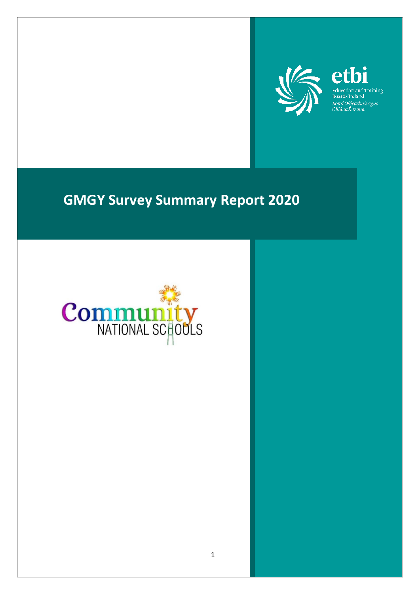

etbi Education and Training<br>Boards Ireland Boird Oideachais agus<br>Oiliúna Éireann

# **GMGY Survey Summary Report 2020**

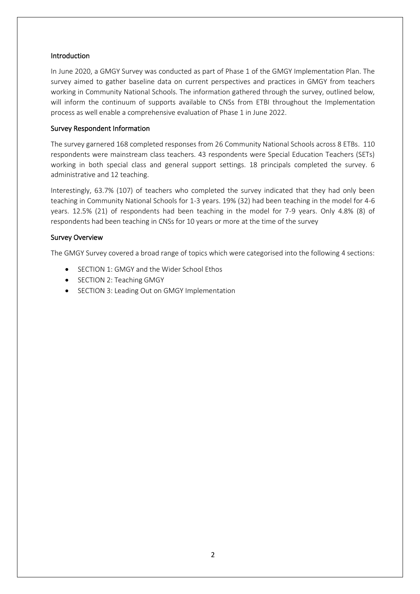## Introduction

In June 2020, a GMGY Survey was conducted as part of Phase 1 of the GMGY Implementation Plan. The survey aimed to gather baseline data on current perspectives and practices in GMGY from teachers working in Community National Schools. The information gathered through the survey, outlined below, will inform the continuum of supports available to CNSs from ETBI throughout the Implementation process as well enable a comprehensive evaluation of Phase 1 in June 2022.

# Survey Respondent Information

The survey garnered 168 completed responses from 26 Community National Schools across 8 ETBs. 110 respondents were mainstream class teachers. 43 respondents were Special Education Teachers (SETs) working in both special class and general support settings. 18 principals completed the survey. 6 administrative and 12 teaching.

Interestingly, 63.7% (107) of teachers who completed the survey indicated that they had only been teaching in Community National Schools for 1-3 years. 19% (32) had been teaching in the model for 4-6 years. 12.5% (21) of respondents had been teaching in the model for 7-9 years. Only 4.8% (8) of respondents had been teaching in CNSs for 10 years or more at the time of the survey

## Survey Overview

The GMGY Survey covered a broad range of topics which were categorised into the following 4 sections:

- SECTION 1: GMGY and the Wider School Ethos
- SECTION 2: Teaching GMGY
- SECTION 3: Leading Out on GMGY Implementation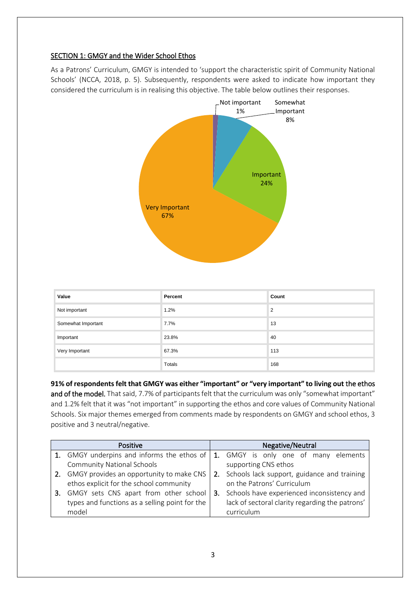# SECTION 1: GMGY and the Wider School Ethos

As a Patrons' Curriculum, GMGY is intended to 'support the characteristic spirit of Community National Schools' (NCCA, 2018, p. 5). Subsequently, respondents were asked to indicate how important they considered the curriculum is in realising this objective. The table below outlines their responses.



| Value              | Percent | Count |
|--------------------|---------|-------|
| Not important      | 1.2%    | 2     |
| Somewhat Important | 7.7%    | 13    |
| Important          | 23.8%   | 40    |
| Very Important     | 67.3%   | 113   |
|                    | Totals  | 168   |

**91% of respondents felt that GMGY was either "important" or "very important" to living out** the ethos and of the model. That said, 7.7% of participants felt that the curriculum was only "somewhat important" and 1.2% felt that it was "not important" in supporting the ethos and core values of Community National Schools. Six major themes emerged from comments made by respondents on GMGY and school ethos, 3 positive and 3 neutral/negative.

| <b>Positive</b>                                | Negative/Neutral                                |
|------------------------------------------------|-------------------------------------------------|
| 1. GMGY underpins and informs the ethos of     | 1. GMGY is only one of many elements            |
| <b>Community National Schools</b>              | supporting CNS ethos                            |
| 2. GMGY provides an opportunity to make CNS    | 2. Schools lack support, guidance and training  |
| ethos explicit for the school community        | on the Patrons' Curriculum                      |
| 3. GMGY sets CNS apart from other school       | 3. Schools have experienced inconsistency and   |
| types and functions as a selling point for the | lack of sectoral clarity regarding the patrons' |
| model                                          | curriculum                                      |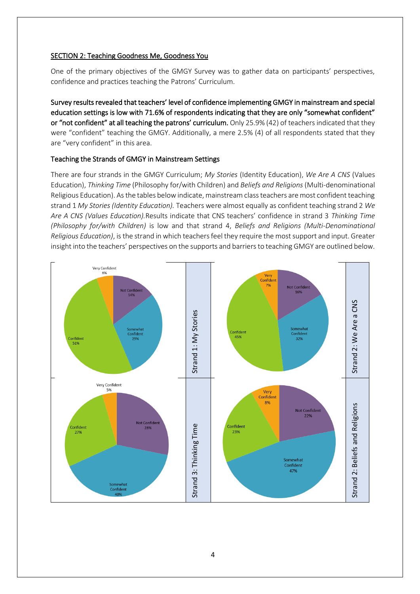## SECTION 2: Teaching Goodness Me, Goodness You

One of the primary objectives of the GMGY Survey was to gather data on participants' perspectives, confidence and practices teaching the Patrons' Curriculum.

Survey results revealed that teachers' level of confidence implementing GMGY in mainstream and special education settings is low with 71.6% of respondents indicating that they are only "somewhat confident" or "not confident" at all teaching the patrons' curriculum. Only 25.9% (42) of teachers indicated that they were "confident" teaching the GMGY. Additionally, a mere 2.5% (4) of all respondents stated that they are "very confident" in this area.

# Teaching the Strands of GMGY in Mainstream Settings

There are four strands in the GMGY Curriculum; *My Stories* (Identity Education), *We Are A CNS* (Values Education), *Thinking Time* (Philosophy for/with Children) and *Beliefs and Religions* (Multi-denominational Religious Education). As the tables below indicate, mainstream class teachers are most confident teaching strand 1 *My Stories (Identity Education).* Teachers were almost equally as confident teaching strand 2 *We Are A CNS (Values Education).*Results indicate that CNS teachers' confidence in strand 3 *Thinking Time (Philosophy for/with Children)* is low and that strand 4, *Beliefs and Religions (Multi-Denominational Religious Education)*, is the strand in which teachers feel they require the most support and input. Greater insight into the teachers' perspectives on the supports and barriers to teaching GMGY are outlined below.

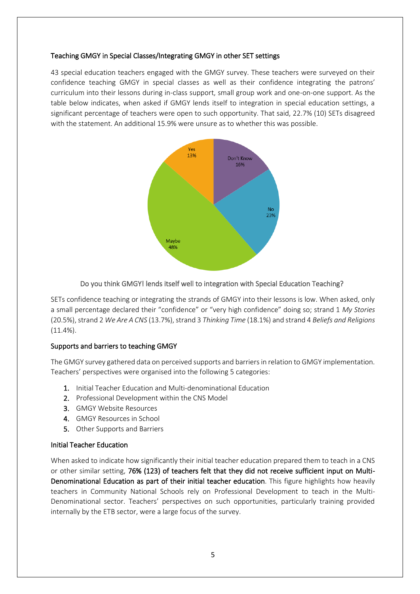# Teaching GMGY in Special Classes/Integrating GMGY in other SET settings

43 special education teachers engaged with the GMGY survey. These teachers were surveyed on their confidence teaching GMGY in special classes as well as their confidence integrating the patrons' curriculum into their lessons during in-class support, small group work and one-on-one support. As the table below indicates, when asked if GMGY lends itself to integration in special education settings, a significant percentage of teachers were open to such opportunity. That said, 22.7% (10) SETs disagreed with the statement. An additional 15.9% were unsure as to whether this was possible.



## Do you think GMGY! lends itself well to integration with Special Education Teaching?

SETs confidence teaching or integrating the strands of GMGY into their lessons is low. When asked, only a small percentage declared their "confidence" or "very high confidence" doing so; strand 1 *My Stories* (20.5%), strand 2 *We Are A CNS* (13.7%), strand 3 *Thinking Time* (18.1%) and strand 4 *Beliefs and Religions* (11.4%).

# Supports and barriers to teaching GMGY

The GMGY survey gathered data on perceived supports and barriers in relation to GMGY implementation. Teachers' perspectives were organised into the following 5 categories:

- 1. Initial Teacher Education and Multi-denominational Education
- 2. Professional Development within the CNS Model
- 3. GMGY Website Resources
- 4. GMGY Resources in School
- 5. Other Supports and Barriers

#### Initial Teacher Education

When asked to indicate how significantly their initial teacher education prepared them to teach in a CNS or other similar setting, 76% (123) of teachers felt that they did not receive sufficient input on Multi-Denominational Education as part of their initial teacher education. This figure highlights how heavily teachers in Community National Schools rely on Professional Development to teach in the Multi-Denominational sector. Teachers' perspectives on such opportunities, particularly training provided internally by the ETB sector, were a large focus of the survey.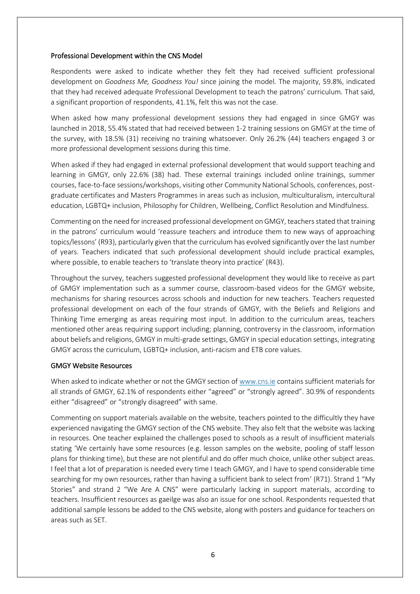## Professional Development within the CNS Model

Respondents were asked to indicate whether they felt they had received sufficient professional development on *Goodness Me, Goodness You!* since joining the model*.* The majority, 59.8%, indicated that they had received adequate Professional Development to teach the patrons' curriculum. That said, a significant proportion of respondents, 41.1%, felt this was not the case.

When asked how many professional development sessions they had engaged in since GMGY was launched in 2018, 55.4% stated that had received between 1-2 training sessions on GMGY at the time of the survey, with 18.5% (31) receiving no training whatsoever. Only 26.2% (44) teachers engaged 3 or more professional development sessions during this time.

When asked if they had engaged in external professional development that would support teaching and learning in GMGY, only 22.6% (38) had. These external trainings included online trainings, summer courses, face-to-face sessions/workshops, visiting other Community National Schools, conferences, postgraduate certificates and Masters Programmes in areas such as inclusion, multiculturalism, intercultural education, LGBTQ+ inclusion, Philosophy for Children, Wellbeing, Conflict Resolution and Mindfulness.

Commenting on the need for increased professional development on GMGY, teachers stated that training in the patrons' curriculum would 'reassure teachers and introduce them to new ways of approaching topics/lessons' (R93), particularly given that the curriculum has evolved significantly over the last number of years. Teachers indicated that such professional development should include practical examples, where possible, to enable teachers to 'translate theory into practice' (R43).

Throughout the survey, teachers suggested professional development they would like to receive as part of GMGY implementation such as a summer course, classroom-based videos for the GMGY website, mechanisms for sharing resources across schools and induction for new teachers. Teachers requested professional development on each of the four strands of GMGY, with the Beliefs and Religions and Thinking Time emerging as areas requiring most input. In addition to the curriculum areas, teachers mentioned other areas requiring support including; planning, controversy in the classroom, information about beliefs and religions, GMGY in multi-grade settings, GMGY in special education settings, integrating GMGY across the curriculum, LGBTQ+ inclusion, anti-racism and ETB core values.

#### GMGY Website Resources

When asked to indicate whether or not the GMGY section o[f www.cns.ie](http://www.cns.ie/) contains sufficient materials for all strands of GMGY, 62.1% of respondents either "agreed" or "strongly agreed". 30.9% of respondents either "disagreed" or "strongly disagreed" with same.

Commenting on support materials available on the website, teachers pointed to the difficultly they have experienced navigating the GMGY section of the CNS website. They also felt that the website was lacking in resources. One teacher explained the challenges posed to schools as a result of insufficient materials stating 'We certainly have some resources (e.g. lesson samples on the website, pooling of staff lesson plans for thinking time), but these are not plentiful and do offer much choice, unlike other subject areas. I feel that a lot of preparation is needed every time I teach GMGY, and I have to spend considerable time searching for my own resources, rather than having a sufficient bank to select from' (R71). Strand 1 "My Stories" and strand 2 "We Are A CNS" were particularly lacking in support materials, according to teachers. Insufficient resources as gaeilge was also an issue for one school. Respondents requested that additional sample lessons be added to the CNS website, along with posters and guidance for teachers on areas such as SET.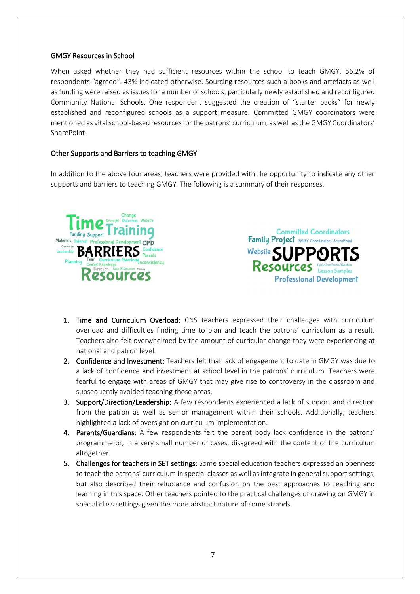#### GMGY Resources in School

When asked whether they had sufficient resources within the school to teach GMGY, 56.2% of respondents "agreed". 43% indicated otherwise. Sourcing resources such a books and artefacts as well as funding were raised as issues for a number of schools, particularly newly established and reconfigured Community National Schools. One respondent suggested the creation of "starter packs" for newly established and reconfigured schools as a support measure. Committed GMGY coordinators were mentioned as vital school-based resources for the patrons' curriculum, as well as the GMGY Coordinators' SharePoint.

# Other Supports and Barriers to teaching GMGY

In addition to the above four areas, teachers were provided with the opportunity to indicate any other supports and barriers to teaching GMGY. The following is a summary of their responses.





- 1. Time and Curriculum Overload: CNS teachers expressed their challenges with curriculum overload and difficulties finding time to plan and teach the patrons' curriculum as a result. Teachers also felt overwhelmed by the amount of curricular change they were experiencing at national and patron level.
- 2. Confidence and Investment: Teachers felt that lack of engagement to date in GMGY was due to a lack of confidence and investment at school level in the patrons' curriculum. Teachers were fearful to engage with areas of GMGY that may give rise to controversy in the classroom and subsequently avoided teaching those areas.
- 3. Support/Direction/Leadership: A few respondents experienced a lack of support and direction from the patron as well as senior management within their schools. Additionally, teachers highlighted a lack of oversight on curriculum implementation.
- 4. Parents/Guardians: A few respondents felt the parent body lack confidence in the patrons' programme or, in a very small number of cases, disagreed with the content of the curriculum altogether.
- 5. Challenges for teachers in SET settings: Some special education teachers expressed an openness to teach the patrons' curriculum in special classes as well as integrate in general support settings, but also described their reluctance and confusion on the best approaches to teaching and learning in this space. Other teachers pointed to the practical challenges of drawing on GMGY in special class settings given the more abstract nature of some strands.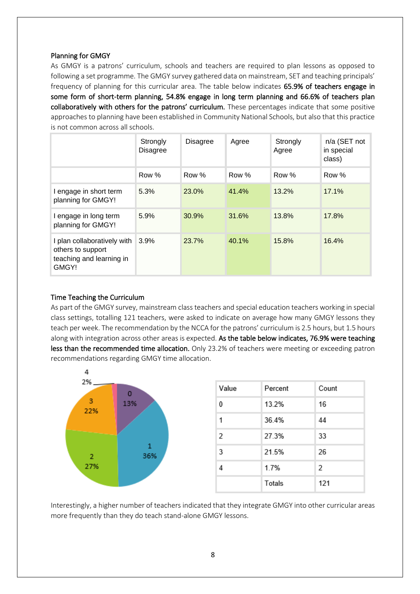# Planning for GMGY

As GMGY is a patrons' curriculum, schools and teachers are required to plan lessons as opposed to following a set programme. The GMGY survey gathered data on mainstream, SET and teaching principals' frequency of planning for this curricular area. The table below indicates 65.9% of teachers engage in some form of short-term planning, 54.8% engage in long term planning and 66.6% of teachers plan collaboratively with others for the patrons' curriculum. These percentages indicate that some positive approaches to planning have been established in Community National Schools, but also that this practice is not common across all schools.

|                                                                                       | Strongly<br><b>Disagree</b> | <b>Disagree</b> | Agree | Strongly<br>Agree | n/a (SET not<br>in special<br>class) |
|---------------------------------------------------------------------------------------|-----------------------------|-----------------|-------|-------------------|--------------------------------------|
|                                                                                       | Row %                       | Row %           | Row % | Row %             | Row %                                |
| I engage in short term<br>planning for GMGY!                                          | 5.3%                        | 23.0%           | 41.4% | 13.2%             | 17.1%                                |
| I engage in long term<br>planning for GMGY!                                           | 5.9%                        | 30.9%           | 31.6% | 13.8%             | 17.8%                                |
| I plan collaboratively with<br>others to support<br>teaching and learning in<br>GMGY! | 3.9%                        | 23.7%           | 40.1% | 15.8%             | 16.4%                                |

# Time Teaching the Curriculum

As part of the GMGY survey, mainstream class teachers and special education teachers working in special class settings, totalling 121 teachers, were asked to indicate on average how many GMGY lessons they teach per week. The recommendation by the NCCA for the patrons' curriculum is 2.5 hours, but 1.5 hours along with integration across other areas is expected. As the table below indicates, 76.9% were teaching less than the recommended time allocation. Only 23.2% of teachers were meeting or exceeding patron recommendations regarding GMGY time allocation.



| Value | Percent | Count |
|-------|---------|-------|
| 0     | 13.2%   | 16    |
| 1     | 36.4%   | 44    |
| 2     | 27.3%   | 33    |
| 3     | 21.5%   | 26    |
|       | 1.7%    | 2     |
|       | Totals  | 121   |

Interestingly, a higher number of teachers indicated that they integrate GMGY into other curricular areas more frequently than they do teach stand-alone GMGY lessons.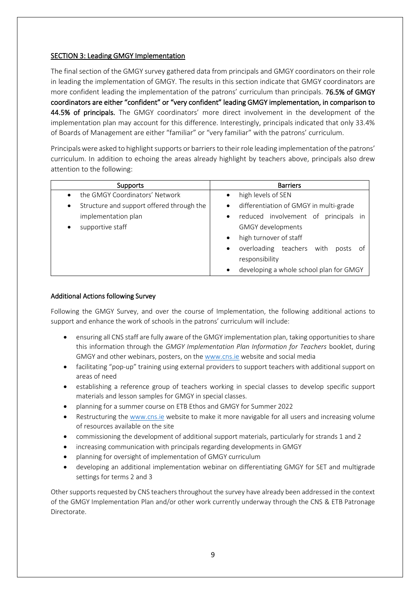## SECTION 3: Leading GMGY Implementation

The final section of the GMGY survey gathered data from principals and GMGY coordinators on their role in leading the implementation of GMGY. The results in this section indicate that GMGY coordinators are more confident leading the implementation of the patrons' curriculum than principals. 76.5% of GMGY coordinators are either "confident" or "very confident" leading GMGY implementation, in comparison to 44.5% of principals. The GMGY coordinators' more direct involvement in the development of the implementation plan may account for this difference. Interestingly, principals indicated that only 33.4% of Boards of Management are either "familiar" or "very familiar" with the patrons' curriculum.

Principals were asked to highlight supports or barriers to their role leading implementation of the patrons' curriculum. In addition to echoing the areas already highlight by teachers above, principals also drew attention to the following:

| <b>Supports</b>                                        | <b>Barriers</b>                                     |
|--------------------------------------------------------|-----------------------------------------------------|
| the GMGY Coordinators' Network<br>$\bullet$            | high levels of SEN                                  |
| Structure and support offered through the<br>$\bullet$ | differentiation of GMGY in multi-grade<br>$\bullet$ |
| implementation plan                                    | reduced involvement of principals in<br>$\bullet$   |
| supportive staff<br>٠                                  | <b>GMGY</b> developments                            |
|                                                        | high turnover of staff<br>$\bullet$                 |
|                                                        | overloading teachers with<br>posts<br>$\bullet$     |
|                                                        | responsibility                                      |
|                                                        | developing a whole school plan for GMGY             |

## Additional Actions following Survey

Following the GMGY Survey, and over the course of Implementation, the following additional actions to support and enhance the work of schools in the patrons' curriculum will include:

- ensuring all CNS staff are fully aware of the GMGY implementation plan, taking opportunities to share this information through the *GMGY Implementation Plan Information for Teachers* booklet, during GMGY and other webinars, posters, on th[e www.cns.ie](http://www.cns.ie/) website and social media
- facilitating "pop-up" training using external providers to support teachers with additional support on areas of need
- establishing a reference group of teachers working in special classes to develop specific support materials and lesson samples for GMGY in special classes.
- planning for a summer course on ETB Ethos and GMGY for Summer 2022
- Restructuring the [www.cns.ie](http://www.cns.ie/) website to make it more navigable for all users and increasing volume of resources available on the site
- commissioning the development of additional support materials, particularly for strands 1 and 2
- increasing communication with principals regarding developments in GMGY
- planning for oversight of implementation of GMGY curriculum
- developing an additional implementation webinar on differentiating GMGY for SET and multigrade settings for terms 2 and 3

Other supports requested by CNS teachers throughout the survey have already been addressed in the context of the GMGY Implementation Plan and/or other work currently underway through the CNS & ETB Patronage Directorate.